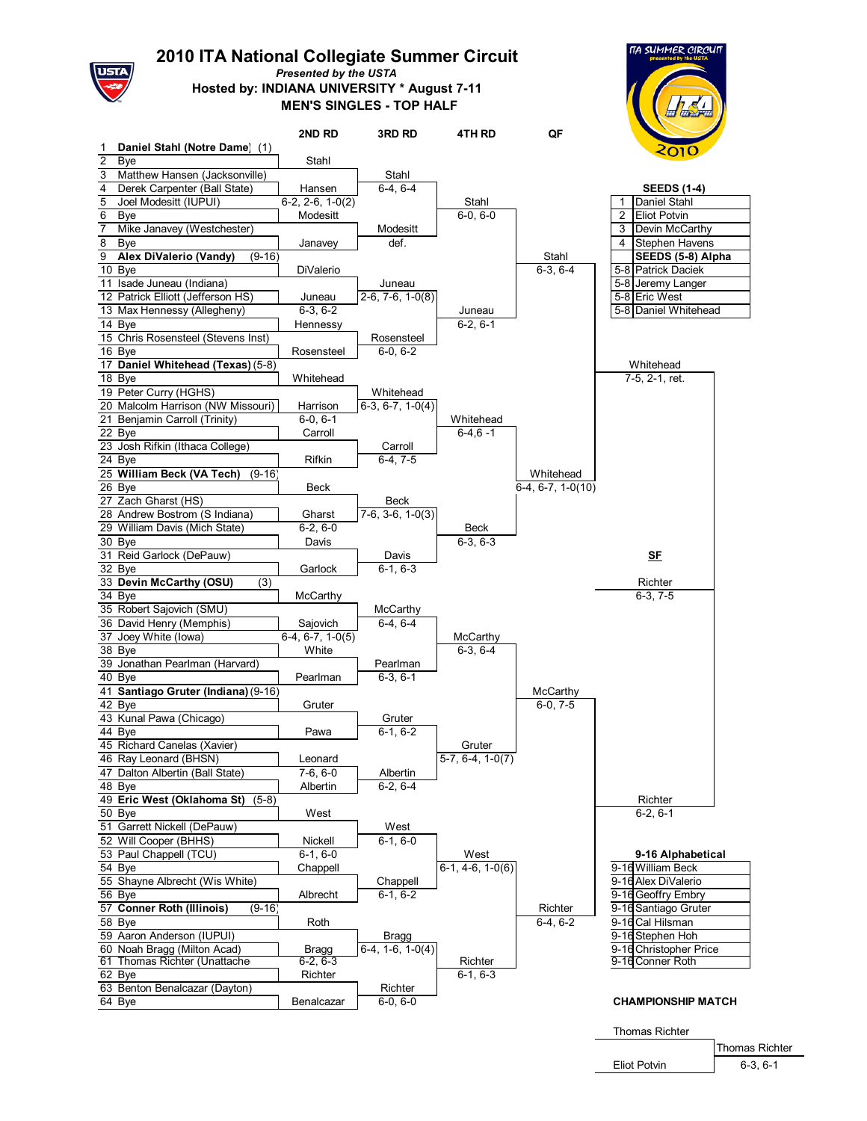

## **ITA National Collegiate Summer Circuit**

*Presented by the USTA*

**MEN'S SINGLES - TOP HALF Hosted by: INDIANA UNIVERSITY \* August 7-11**

**2ND RD 3RD RD 4TH RD QF**

|                | <b><i>MA SUMMER CIRCUIT</i></b><br>presented by the USTA<br>2010<br><b>SEEDS (1-4)</b> |
|----------------|----------------------------------------------------------------------------------------|
|                | Daniel Stahl                                                                           |
| $\overline{2}$ | <b>Eliot Potvin</b>                                                                    |
| C              | $D$ <sub>a</sub> $in$ $M$ <sub>a</sub> $C$ <sub>arth</sub>                             |

| 1                       | Daniel Stahl (Notre Dame)<br>(1)        |                    |                    |                                |                     | 2010                                  |
|-------------------------|-----------------------------------------|--------------------|--------------------|--------------------------------|---------------------|---------------------------------------|
| $\overline{\mathbf{c}}$ | Bye                                     | Stahl              |                    |                                |                     |                                       |
| 3                       | Matthew Hansen (Jacksonville)           |                    | Stahl              |                                |                     |                                       |
| 4                       | Derek Carpenter (Ball State)            | Hansen             | $6-4.6-4$          |                                |                     | <b>SEEDS (1-4)</b>                    |
| 5                       | Joel Modesitt (IUPUI)                   | $6-2, 2-6, 1-0(2)$ |                    | Stahl                          |                     | Daniel Stahl<br>1                     |
| 6                       | Bye                                     | Modesitt           |                    | $6-0, 6-0$                     |                     | $\overline{2}$<br><b>Eliot Potvin</b> |
| $\overline{7}$          | Mike Janavey (Westchester)              |                    | Modesitt           |                                |                     | Devin McCarthy<br>3                   |
| 8                       | Bye                                     | Janavey            | def.               |                                |                     | Stephen Havens<br>4                   |
|                         | $(9-16)$                                |                    |                    |                                |                     |                                       |
| 9                       | Alex DiValerio (Vandy)                  |                    |                    |                                | Stahl               | SEEDS (5-8) Alpha                     |
|                         | 10 Bye                                  | DiValerio          |                    |                                | $6-3, 6-4$          | 5-8 Patrick Daciek                    |
|                         | 11 Isade Juneau (Indiana)               |                    | Juneau             |                                |                     | 5-8 Jeremy Langer                     |
|                         | 12 Patrick Elliott (Jefferson HS)       | Juneau             | $2-6, 7-6, 1-0(8)$ |                                |                     | 5-8 Eric West                         |
|                         | 13 Max Hennessy (Allegheny)             | $6-3, 6-2$         |                    | Juneau                         |                     | 5-8 Daniel Whitehead                  |
|                         | 14 Bye                                  | Hennessy           |                    | $6-2, 6-1$                     |                     |                                       |
|                         | 15 Chris Rosensteel (Stevens Inst)      |                    | Rosensteel         |                                |                     |                                       |
|                         | 16 Bye                                  | Rosensteel         | $6-0, 6-2$         |                                |                     |                                       |
|                         | 17 Daniel Whitehead (Texas) (5-8)       |                    |                    |                                |                     | Whitehead                             |
|                         | 18 Bye                                  | Whitehead          |                    |                                |                     | 7-5, 2-1, ret.                        |
|                         | 19 Peter Curry (HGHS)                   |                    | Whitehead          |                                |                     |                                       |
|                         | 20 Malcolm Harrison (NW Missouri)       | Harrison           | $6-3, 6-7, 1-0(4)$ |                                |                     |                                       |
|                         | 21 Benjamin Carroll (Trinity)           | $6-0, 6-1$         |                    | Whitehead                      |                     |                                       |
|                         | $22$ Bye                                | Carroll            |                    | $6-4, 6-1$                     |                     |                                       |
|                         |                                         |                    |                    |                                |                     |                                       |
|                         | 23 Josh Rifkin (Ithaca College)         |                    | Carroll            |                                |                     |                                       |
|                         | 24 Bye                                  | Rifkin             | $6-4, 7-5$         |                                |                     |                                       |
|                         | 25 William Beck (VA Tech)<br>$(9-16)$   |                    |                    |                                | Whitehead           |                                       |
|                         | 26 Bye                                  | Beck               |                    |                                | $6-4, 6-7, 1-0(10)$ |                                       |
|                         | 27 Zach Gharst (HS)                     |                    | Beck               |                                |                     |                                       |
|                         | 28 Andrew Bostrom (S Indiana)           | Gharst             | $7-6, 3-6, 1-0(3)$ |                                |                     |                                       |
|                         | 29 William Davis (Mich State)           | $6-2, 6-0$         |                    | Beck                           |                     |                                       |
|                         | $30$ Bye                                | Davis              |                    | $6-3, 6-3$                     |                     |                                       |
|                         | 31 Reid Garlock (DePauw)                |                    | Davis              |                                |                     | <u>SF</u>                             |
|                         | $32$ Bye                                | Garlock            | $6-1, 6-3$         |                                |                     |                                       |
|                         | 33 Devin McCarthy (OSU)<br>(3)          |                    |                    |                                |                     | Richter                               |
|                         | 34 Bye                                  | McCarthy           |                    |                                |                     | $6-3, 7-5$                            |
|                         | 35 Robert Sajovich (SMU)                |                    | McCarthy           |                                |                     |                                       |
|                         | 36 David Henry (Memphis)                | Sajovich           | $6-4, 6-4$         |                                |                     |                                       |
|                         | 37 Joey White (lowa)                    | $6-4, 6-7, 1-0(5)$ |                    | McCarthy                       |                     |                                       |
|                         | 38 Bye                                  | White              |                    | $6-3, 6-4$                     |                     |                                       |
|                         | 39 Jonathan Pearlman (Harvard)          |                    | Pearlman           |                                |                     |                                       |
|                         |                                         |                    |                    |                                |                     |                                       |
|                         | 40 Bye                                  | Pearlman           | $6-3, 6-1$         |                                |                     |                                       |
|                         | 41 Santiago Gruter (Indiana) (9-16)     |                    |                    |                                | McCarthy            |                                       |
|                         | 42 Bye                                  | Gruter             |                    |                                | $6-0, 7-5$          |                                       |
|                         | 43 Kunal Pawa (Chicago)                 |                    | Gruter             |                                |                     |                                       |
|                         | 44 Bye                                  | Pawa               | $6-1, 6-2$         |                                |                     |                                       |
|                         | 45 Richard Canelas (Xavier)             |                    |                    | Gruter                         |                     |                                       |
|                         | 46 Ray Leonard (BHSN)                   | Leonard            |                    | $\overline{5-7}$ , 6-4, 1-0(7) |                     |                                       |
|                         | 47 Dalton Albertin (Ball State)         | $7-6, 6-0$         | Albertin           |                                |                     |                                       |
|                         | 48 Bye                                  | Albertin           | $6-2, 6-4$         |                                |                     |                                       |
|                         | 49 Eric West (Oklahoma St) (5-8)        |                    |                    |                                |                     | Richter                               |
|                         | 50 Bye                                  | West               |                    |                                |                     | $6-2, 6-1$                            |
|                         | 51 Garrett Nickell (DePauw)             |                    | West               |                                |                     |                                       |
|                         | 52 Will Cooper (BHHS)                   | Nickell            | $6-1, 6-0$         |                                |                     |                                       |
|                         | 53 Paul Chappell (TCU)                  | $6-1, 6-0$         |                    | West                           |                     | 9-16 Alphabetical                     |
|                         | 54 Bye                                  | Chappell           |                    | $6-1.4-6.1-0(6)$               |                     | 9-16 William Beck                     |
|                         |                                         |                    |                    |                                |                     |                                       |
|                         | 55 Shayne Albrecht (Wis White)          |                    | Chappell           |                                |                     | 9-16 Alex DiValerio                   |
|                         | 56 Bye                                  | Albrecht           | $6-1, 6-2$         |                                |                     | 9-16 Geoffry Embry                    |
|                         | 57 Conner Roth (Illinois)<br>$(9 - 16)$ |                    |                    |                                | Richter             | 9-16 Santiago Gruter                  |
|                         | 58 Bye                                  | Roth               |                    |                                | $6-4, 6-2$          | 9-16 Cal Hilsman                      |
|                         | 59 Aaron Anderson (IUPUI)               |                    | Bragg              |                                |                     | 9-16 Stephen Hoh                      |
|                         | 60 Noah Bragg (Milton Acad)             | Bragg              | $6-4, 1-6, 1-0(4)$ |                                |                     | 9-16 Christopher Price                |
|                         | 61 Thomas Richter (Unattache            | $6-2, 6-3$         |                    | Richter                        |                     | 9-16 Conner Roth                      |
|                         | 62 Bye                                  | Richter            |                    | $6-1, 6-3$                     |                     |                                       |
|                         | 63 Benton Benalcazar (Dayton)           |                    | Richter            |                                |                     |                                       |
|                         | 64 Bye                                  | Benalcazar         | $6-0, 6-0$         |                                |                     | <b>CHAMPIONSHIP MATCH</b>             |
|                         |                                         |                    |                    |                                |                     |                                       |

Thomas Richter